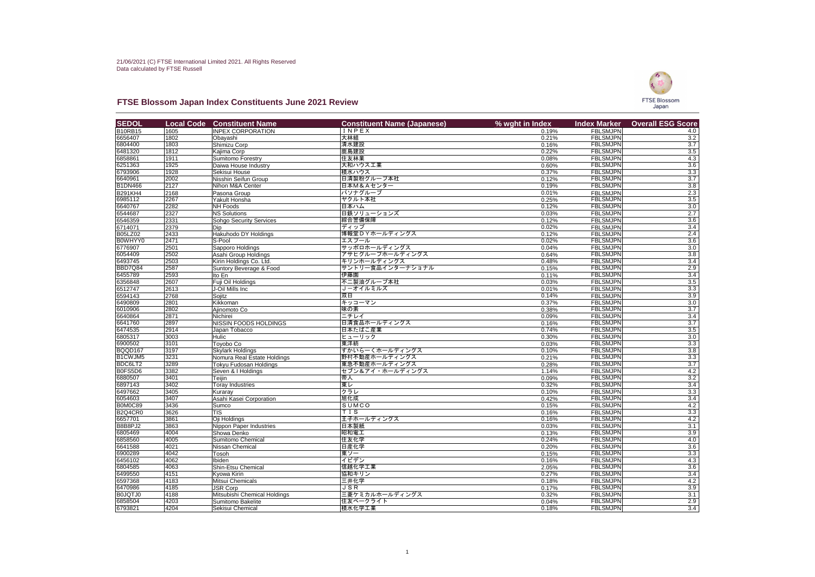## **FTSE Blossom Japan Index Constituents June 2021 Review**

| <b>SEDOL</b>       | <b>Local Code</b>              | <b>Constituent Name</b>            | <b>Constituent Name (Japanese)</b> | % wght in Index | <b>Index Marker</b>                | <b>Overall ESG Score</b> |
|--------------------|--------------------------------|------------------------------------|------------------------------------|-----------------|------------------------------------|--------------------------|
| <b>B10RB15</b>     | 1605                           | <b>INPEX CORPORATION</b>           | <b>INPEX</b>                       | 0.19%           | <b>FBLSMJPN</b>                    | 4.0                      |
| 6656407            | 1802                           | Obayashi                           | 大林組                                | 0.21%           | <b>FBLSMJPN</b>                    | 3.2                      |
| 6804400            | 1803                           | Shimizu Corp                       | 清水建設                               | 0.16%           | <b>FBLSMJPN</b>                    | $\overline{3.7}$         |
| 6481320            | 1812                           | Kajima Corp                        | 鹿島建設                               | 0.22%           | <b>FBLSMJPN</b>                    | 3.5                      |
| 6858861            | 1911                           | Sumitomo Forestry                  | 住友林業                               | 0.08%           | <b>FBLSMJPN</b>                    | 4.3                      |
| 6251363            | 1925                           | Daiwa House Industry               | 大和ハウス工業                            | 0.60%           | <b>FBLSMJPN</b>                    | $\overline{3.6}$         |
| 6793906            | 1928                           | Sekisui House                      | 積水ハウス                              | 0.37%           | <b>FBLSMJPN</b>                    | 3.3                      |
| 6640961            | 2002                           | Nisshin Seifun Group               | 日清製粉グループ本社                         | 0.12%           | <b>FBLSMJPN</b>                    | $\overline{3.7}$         |
| <b>B1DN466</b>     | 2127                           | Nihon M&A Center                   | 日本M&Aセンター                          | 0.19%           | <b>FBLSMJPN</b>                    | $\overline{3.8}$         |
| <b>B291KH4</b>     | 2168                           | Pasona Group                       | パソナグループ                            | 0.01%           | <b>FBLSMJPN</b>                    | 2.3                      |
| 6985112            | 2267                           | Yakult Honsha                      | ヤクルト本社                             | 0.25%           | <b>FBLSMJPN</b>                    | $\overline{3.5}$         |
| 6640767            | 2282                           | <b>NH</b> Foods                    | 日本ハム                               | 0.12%           | <b>FBLSMJPN</b>                    | 3.0                      |
| 6544687            | 2327                           | NS Solutions                       | 日鉄ソリューションズ                         | 0.03%           | <b>FBLSMJPN</b>                    | $\overline{2.7}$         |
| 6546359            | 2331                           | <b>Sohgo Security Services</b>     | 綜合警備保障                             | 0.12%           | <b>FBLSMJPN</b>                    | 3.6                      |
| 6714071            | 2379                           | Dip                                | ディップ                               | 0.02%           | <b>FBLSMJPN</b>                    | 3.4                      |
| <b>B05LZ02</b>     | 2433                           | Hakuhodo DY Holdings               | 博報堂DYホールディングス                      | 0.12%           | <b>FBLSMJPN</b>                    | 2.4                      |
| B0WHYY0            | 2471                           | S-Pool                             | エスプール                              | 0.02%           | <b>FBLSMJPN</b>                    | $\overline{3.6}$         |
| 6776907            | 2501                           | Sapporo Holdings                   | サッポロホールディングス                       | 0.04%           | <b>FBLSMJPN</b>                    | 3.0                      |
| 6054409            | 2502                           | Asahi Group Holdings               | アサヒグループホールディングス                    | 0.64%           | <b>FBLSMJPN</b>                    | 3.8                      |
| 6493745            | $\overline{\left 2503\right }$ | Kirin Holdings Co. Ltd.            | キリンホールディングス                        | 0.48%           | <b>FBLSMJPN</b>                    | $\overline{3.4}$         |
| BBD7Q84            | 2587                           | Suntory Beverage & Food            | サントリー食品インターナショナル                   | 0.15%           | <b>FBLSMJPN</b>                    | $\overline{2.9}$         |
| 6455789            | 2593                           | Ito En                             | 伊藤園                                | 0.11%           | <b>FBLSMJPN</b>                    | 3.4                      |
| 6356848            | 2607                           | Fuji Oil Holdings                  | 不二製油グループ本社                         | 0.03%           | <b>FBLSMJPN</b>                    | $\overline{3.5}$         |
| 6512747            | 2613                           | J-Oil Mills Inc                    | J -オイルミルズ                          | 0.01%           | <b>FBLSMJPN</b>                    | $\overline{3.3}$         |
| 6594143            | 2768                           | Sojitz                             | 双日                                 | 0.14%           | <b>FBLSMJPN</b>                    | 3.9                      |
| 6490809            | 2801                           | Kikkoman                           | キッコーマン                             | 0.37%           | <b>FBLSMJPN</b>                    | $\overline{3.0}$         |
| 6010906            | 2802                           | Ajinomoto Co                       | 味の素                                | 0.38%           | <b>FBLSMJPN</b>                    | $\overline{3.7}$         |
| 6640864            | 2871                           | Nichirei                           | ニチレイ                               | 0.09%           | <b>FBLSMJPN</b>                    | 3.4                      |
| 6641760            | 2897                           | <b>NISSIN FOODS HOLDINGS</b>       | 日清食品ホールディングス                       | 0.16%           | <b>FBLSMJPN</b>                    | $\overline{3.7}$         |
| 6474535            | 2914                           | Japan Tobacco                      | 日本たばこ産業                            | 0.74%           | <b>FBLSMJPN</b>                    | 3.5                      |
| 6805317            | 3003                           | Hulic                              | ヒューリック                             | 0.30%           | <b>FBLSMJPN</b>                    | $\overline{3.0}$         |
| 6900502            | 3101                           | Toyobo Co                          | 東洋紡                                | 0.03%           | <b>FBLSMJPN</b>                    | $\overline{3.3}$         |
| BQQD167            | 3197                           | <b>Skylark Holdings</b>            | <b> すかいらーくホールディングス</b>             | 0.10%           | <b>FBLSMJPN</b>                    | 3.8                      |
| B1CWJM5            | 3231                           | Nomura Real Estate Holdings        | 野村不動産ホールディングス                      | 0.21%           | <b>FBLSMJPN</b>                    | 3.3                      |
| BDC6LT2            | 3289                           | <b>Tokyu Fudosan Holdings</b>      | 東急不動産ホールディングス                      | 0.28%           | <b>FBLSMJPN</b>                    | 3.7                      |
| B0FS5D6            | 3382<br>3401                   | Seven & I Holdings                 | セブン&アイ・ホールディングス<br>帝人              | 1.14%           | <b>FBLSMJPN</b><br><b>FBLSMJPN</b> | 4.2<br>3.2               |
| 6880507<br>6897143 | 3402                           | Teijin                             | 東レ                                 | 0.09%           | <b>FBLSMJPN</b>                    | 3.4                      |
| 6497662            | 3405                           | <b>Toray Industries</b><br>Kuraray | クラレ                                | 0.32%<br>0.10%  | <b>FBLSMJPN</b>                    | 3.3                      |
| 6054603            | 3407                           | Asahi Kasei Corporation            | 旭化成                                | 0.42%           | <b>FBLSMJPN</b>                    | 3.4                      |
| B0M0C89            | 3436                           | Sumco                              | SUMCO                              | 0.15%           | <b>FBLSMJPN</b>                    | 4.2                      |
| B2Q4CR0            | 3626                           | <b>TIS</b>                         | TIS                                | 0.16%           | <b>FBLSMJPN</b>                    | 3.3                      |
| 6657701            | 3861                           | Oji Holdings                       | <b> 王子ホールディングス</b>                 | 0.16%           | <b>FBLSMJPN</b>                    | 4.2                      |
| B8B8PJ2            | 3863                           | Nippon Paper Industries            | 日本製紙                               | 0.03%           | <b>FBLSMJPN</b>                    | 3.1                      |
| 6805469            | 4004                           | Showa Denko                        | 昭和電工                               | 0.13%           | <b>FBLSMJPN</b>                    | 3.9                      |
| 6858560            | 4005                           | Sumitomo Chemical                  | 住友化学                               | 0.24%           | <b>FBLSMJPN</b>                    | 4.0                      |
| 6641588            | 4021                           | Nissan Chemical                    | 日産化学                               | 0.20%           | <b>FBLSMJPN</b>                    | 3.6                      |
| 6900289            | 4042                           | Tosoh                              | 東ソー                                | 0.15%           | <b>FBLSMJPN</b>                    | $\overline{3.3}$         |
| 6456102            | 4062                           | Ibiden                             | イビデン                               | 0.16%           | <b>FBLSMJPN</b>                    | 4.3                      |
| 6804585            | 4063                           | Shin-Etsu Chemical                 | 信越化学工業                             | 2.05%           | <b>FBLSMJPN</b>                    | 3.6                      |
| 6499550            | 4151                           | Kyowa Kirin                        | 協和キリン                              | 0.27%           | <b>FBLSMJPN</b>                    | 3.4                      |
| 6597368            | 4183                           | Mitsui Chemicals                   | 三井化学                               | 0.18%           | <b>FBLSMJPN</b>                    | 4.2                      |
| 6470986            | 4185                           | <b>JSR Corp</b>                    | JSR                                | 0.17%           | <b>FBLSMJPN</b>                    | 3.9                      |
| B0JQTJ0            | 4188                           | Mitsubishi Chemical Holdings       | 三菱ケミカルホールディングス                     | 0.32%           | <b>FBLSMJPN</b>                    | 3.1                      |
| 6858504            | 4203                           | Sumitomo Bakelite                  | 住友ベークライト                           | 0.04%           | <b>FBLSMJPN</b>                    | 2.9                      |
| 6793821            | 4204                           | Sekisui Chemical                   | 積水化学工業                             | 0.18%           | FBLSMJPN                           | 3.4                      |

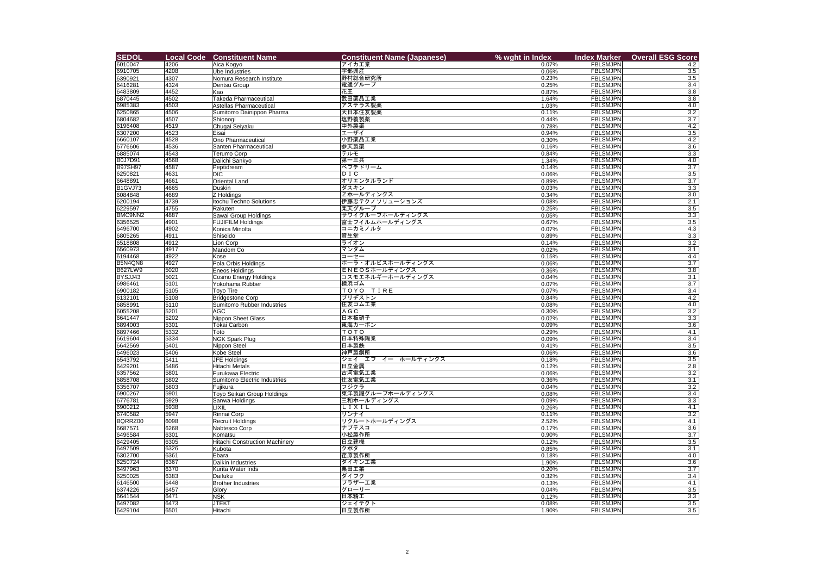| <b>SEDOL</b>                     | <b>Local Code</b> | <b>Constituent Name</b>                  | <b>Constituent Name (Japanese)</b> | % wght in Index | <b>Index Marker</b>                | <b>Overall ESG Score</b> |
|----------------------------------|-------------------|------------------------------------------|------------------------------------|-----------------|------------------------------------|--------------------------|
| 6010047                          | 4206              | Aica Kogyo                               | アイカエ業                              | 0.07%           | <b>FBLSMJPN</b>                    | 4.2                      |
| 6910705                          | 4208              | <b>Ube Industries</b>                    | 宇部興産                               | 0.06%           | <b>FBLSMJPN</b>                    | 3.5                      |
| 6390921                          | 4307              | Nomura Research Institute                | 野村総合研究所                            | 0.23%           | <b>FBLSMJPN</b>                    | 3.5                      |
| 6416281                          | 4324              | Dentsu Group                             | 電通グループ                             | 0.25%           | <b>FBLSMJPN</b>                    | $\overline{3.4}$         |
| 6483809                          | 4452              | Kao                                      | 花王                                 | 0.87%           | <b>FBLSMJPN</b>                    | $\overline{3.8}$         |
| 6870445                          | 4502              | Takeda Pharmaceutical                    | 武田薬品工業                             | 1.64%           | <b>FBLSMJPN</b>                    | 3.8                      |
| 6985383                          | $\sqrt{4503}$     | <b>Astellas Pharmaceutical</b>           | アステラス製薬                            | 1.03%           | <b>FBLSMJPN</b>                    | 4.0                      |
| 6250865                          | 4506              | Sumitomo Dainippon Pharma                | 大日本住友製薬                            | 0.11%           | <b>FBLSMJPN</b>                    | $\overline{3.2}$         |
| 6804682                          | 4507              | Shionogi                                 | 塩野義製薬                              | 0.44%           | <b>FBLSMJPN</b>                    | 3.7                      |
| 6196408                          | 4519              | Chugai Seiyaku                           | 中外製薬                               | 0.78%           | <b>FBLSMJPN</b>                    | 4.2                      |
| 6307200                          | 4523              | Eisai                                    | エーザイ                               | 0.94%           | <b>FBLSMJPN</b>                    | 3.5                      |
| 6660107                          | 4528              | Ono Pharmaceutical                       | 小野薬品工業                             | 0.30%           | <b>FBLSMJPN</b>                    | 4.2                      |
| 6776606                          | 4536              | Santen Pharmaceutical                    | 参天製薬                               | 0.16%           | <b>FBLSMJPN</b>                    | 3.6                      |
| 6885074                          | 4543              | <b>Terumo Corp</b>                       | テルモ                                | 0.84%           | <b>FBLSMJPN</b>                    | 3.3                      |
| <b>B0J7D91</b>                   | $\sqrt{4568}$     | Daiichi Sankyo                           | 第一三共                               | 1.34%           | <b>FBLSMJPN</b>                    | 4.0                      |
| <b>B97SH97</b>                   | 4587              | Peptidream                               | ペプチドリーム                            | 0.14%           | <b>FBLSMJPN</b>                    | $\overline{3.7}$         |
| 6250821                          | 4631              | <b>DIC</b>                               | DIC                                | 0.06%           | <b>FBLSMJPN</b>                    | 3.5                      |
| 6648891                          | 4661              | <b>Oriental Land</b>                     | オリエンタルランド                          | 0.89%           | <b>FBLSMJPN</b>                    | $\overline{3.7}$         |
| B <sub>1</sub> GVJ <sub>73</sub> | 4665              | Duskin                                   | ダスキン                               | 0.03%           | <b>FBLSMJPN</b>                    | $\overline{3.3}$         |
| 6084848                          | 4689              | Z Holdings                               | Zホールディングス                          | 0.34%           | <b>FBLSMJPN</b>                    | 3.0                      |
| 6200194                          | $\sqrt{4739}$     | <b>Itochu Techno Solutions</b>           | 伊藤忠テクノソリューションズ                     | 0.08%           | <b>FBLSMJPN</b>                    | 2.1                      |
| 6229597                          | 4755              | Rakuten                                  | 楽天グループ                             | 0.25%           | <b>FBLSMJPN</b>                    | $\overline{3.5}$         |
| BMC9NN2                          | 4887              | Sawai Group Holdings                     | サワイグループホールディングス                    | 0.05%           | <b>FBLSMJPN</b>                    | 3.3                      |
| 6356525                          | 4901              | <b>FUJIFILM Holdings</b>                 | 富士フイルムホールディングス                     | 0.67%           | <b>FBLSMJPN</b>                    | 3.5                      |
| 6496700                          | 4902              | Konica Minolta                           | コニカミノルタ                            | 0.07%           | <b>FBLSMJPN</b>                    | $\overline{4.3}$         |
| 6805265                          | 4911              | Shiseido                                 | 資生堂                                | 0.89%           | <b>FBLSMJPN</b>                    | 3.3                      |
| 6518808                          | 4912              | Lion Corp                                | ライオン                               | 0.14%           | <b>FBLSMJPN</b>                    | $\overline{3.2}$         |
| 6560973                          | 4917              | Mandom Co                                | マンダム                               | 0.02%           | <b>FBLSMJPN</b>                    | $\overline{3.1}$         |
| 6194468                          | 4922              | Kose                                     | コーセー                               | 0.15%           | <b>FBLSMJPN</b>                    | 4.4                      |
| B5N4QN8                          | 4927              | Pola Orbis Holdings                      | ポーラ・オルビスホールディングス                   | 0.06%           | <b>FBLSMJPN</b>                    | $\overline{3.7}$         |
| <b>B627LW9</b>                   | 5020              | Eneos Holdings                           | ENEOSホールディングス                      | 0.36%           | <b>FBLSMJPN</b>                    | $\overline{3.8}$         |
| BYSJJ43                          | 5021              | Cosmo Energy Holdings                    | コスモエネルギーホールディングス                   | 0.04%           | <b>FBLSMJPN</b>                    | $\overline{3.1}$         |
| 6986461                          | 5101              | Yokohama Rubber                          | 横浜ゴム                               | 0.07%           | <b>FBLSMJPN</b>                    | $\overline{3.7}$         |
| 6900182                          | 5105              | Toyo Tire                                | TOYO TIRE                          | 0.07%           | <b>FBLSMJPN</b>                    | 3.4                      |
| 6132101                          | 5108              | <b>Bridgestone Corp</b>                  | ブリヂストン<br>住友ゴム工業                   | 0.84%           | <b>FBLSMJPN</b>                    | 4.2<br>4.0               |
| 6858991<br>6055208               | 5110<br>5201      | Sumitomo Rubber Industries<br><b>AGC</b> | A G C                              | 0.08%<br>0.30%  | <b>FBLSMJPN</b><br><b>FBLSMJPN</b> | 3.2                      |
| 6641447                          | 5202              | Nippon Sheet Glass                       | 日本板硝子                              | 0.02%           | <b>FBLSMJPN</b>                    | $\overline{3.3}$         |
| 6894003                          | 5301              | Tokai Carbon                             | 東海カーボン                             | 0.09%           | <b>FBLSMJPN</b>                    | $\overline{3.6}$         |
| 6897466                          | 5332              | Toto                                     | TOTO                               | 0.29%           | <b>FBLSMJPN</b>                    | 4.1                      |
| 6619604                          | 5334              | <b>NGK Spark Plug</b>                    | 日本特殊陶業                             | 0.09%           | <b>FBLSMJPN</b>                    | 3.4                      |
| 6642569                          | 5401              | Nippon Steel                             | 日本製鉄                               | 0.41%           | <b>FBLSMJPN</b>                    | $\overline{3.5}$         |
| 6496023                          | 5406              | Kobe Steel                               | 神戸製鋼所                              | 0.06%           | <b>FBLSMJPN</b>                    | $\overline{3.6}$         |
| 6543792                          | 5411              | <b>JFE Holdings</b>                      | ジェイ エフ イー ホールディングス                 | 0.18%           | <b>FBLSMJPN</b>                    | 3.5                      |
| 6429201                          | 5486              | <b>Hitachi Metals</b>                    | 日立金属                               | 0.12%           | <b>FBLSMJPN</b>                    | $\overline{2.8}$         |
| 6357562                          | 5801              | Furukawa Electric                        | 古河電気工業                             | 0.06%           | <b>FBLSMJPN</b>                    | 3.2                      |
| 6858708                          | 5802              | Sumitomo Electric Industries             | 住友電気工業                             | 0.36%           | <b>FBLSMJPN</b>                    | $\overline{3.1}$         |
| 6356707                          | 5803              | Fujikura                                 | フジクラ                               | 0.04%           | <b>FBLSMJPN</b>                    | $\overline{3.2}$         |
| 6900267                          | 5901              | Toyo Seikan Group Holdings               | 東洋製罐グループホールディングス                   | 0.08%           | <b>FBLSMJPN</b>                    | 3.4                      |
| 6776781                          | 5929              | Sanwa Holdings                           | 三和ホールディングス                         | 0.09%           | <b>FBLSMJPN</b>                    | 3.3                      |
| 6900212                          | 5938              | LIXIL                                    | LIXIL                              | 0.26%           | <b>FBLSMJPN</b>                    | 4.1                      |
| 6740582                          | 5947              | Rinnai Corp                              | リンナイ                               | 0.11%           | <b>FBLSMJPN</b>                    | 3.2                      |
| BQRRZ00                          | 6098              | Recruit Holdings                         | リクルートホールディングス                      | 2.52%           | <b>FBLSMJPN</b>                    | 4.1                      |
| 6687571                          | 6268              | Nabtesco Corp                            | ナブテスコ                              | 0.17%           | <b>FBLSMJPN</b>                    | 3.6                      |
| 6496584                          | 6301              | Komatsu                                  | 小松製作所                              | 0.90%           | <b>FBLSMJPN</b>                    | $\overline{3.7}$         |
| 6429405                          | 6305              | <b>Hitachi Construction Machinery</b>    | 日立建機                               | 0.12%           | <b>FBLSMJPN</b>                    | $\overline{3.5}$         |
| 6497509                          | 6326              | Kubota                                   | クボタ                                | 0.85%           | <b>FBLSMJPN</b>                    | $\overline{3.1}$         |
| 6302700                          | 6361              | Ebara                                    | 荏原製作所                              | 0.18%           | <b>FBLSMJPN</b>                    | 4.0                      |
| 6250724                          | 6367              | Daikin Industries                        | ダイキン工業                             | 1.90%           | <b>FBLSMJPN</b>                    | $\overline{3.6}$         |
| 6497963                          | 6370              | Kurita Water Inds                        | 栗田工業                               | 0.20%           | <b>FBLSMJPN</b>                    | $\overline{3.7}$         |
| 6250025                          | 6383              | Daifuku                                  | ダイフク                               | 0.32%           | <b>FBLSMJPN</b>                    | 3.4                      |
| 6146500                          | 6448              | <b>Brother Industries</b>                | ブラザー工業                             | 0.13%           | <b>FBLSMJPN</b>                    | 4.1                      |
| 6374226                          | 6457              | Glory                                    | グローリー                              | 0.04%           | <b>FBLSMJPN</b>                    | 3.5                      |
| 6641544                          | 6471              | <b>NSK</b>                               | 日本精工                               | 0.12%           | <b>FBLSMJPN</b>                    | 3.3                      |
| 6497082                          | 6473              | JTEKT                                    | ジェイテクト                             | 0.08%           | <b>FBLSMJPN</b>                    | $\overline{3.5}$         |
| 6429104                          | 6501              | Hitachi                                  | 日立製作所                              | 1.90%           | <b>FBLSMJPN</b>                    | 3.5                      |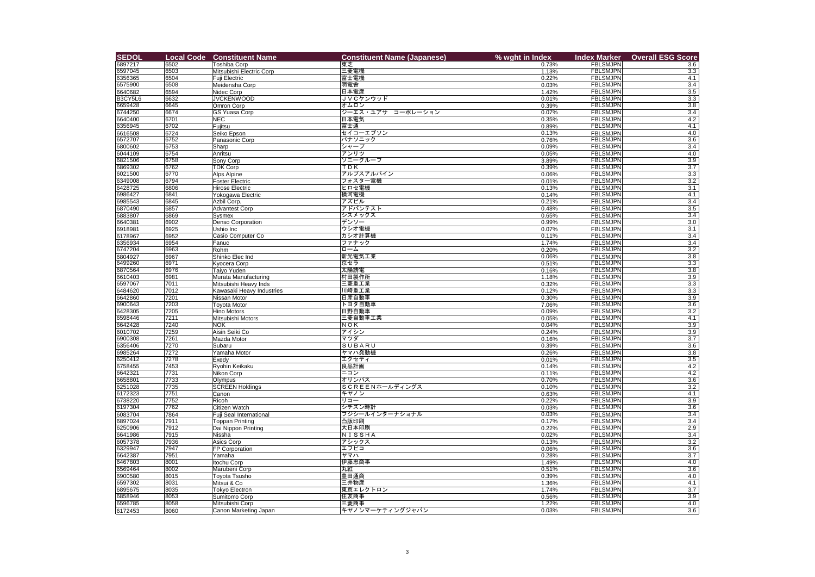| <b>SEDOL</b>       | <b>Local Code</b> | <b>Constituent Name</b>                       | <b>Constituent Name (Japanese)</b> | % wght in Index | <b>Index Marker</b>                | <b>Overall ESG Score</b>             |
|--------------------|-------------------|-----------------------------------------------|------------------------------------|-----------------|------------------------------------|--------------------------------------|
| 6897217            | 6502              | <b>Toshiba Corp</b>                           | 東芝                                 | 0.73%           | <b>FBLSMJPN</b>                    | 3.6                                  |
| 6597045            | 6503              | Mitsubishi Electric Corp                      | 三菱電機                               | 1.13%           | <b>FBLSMJPN</b>                    | 3.3                                  |
| 6356365            | 6504              | Fuji Electric                                 | 富士電機                               | 0.22%           | <b>FBLSMJPN</b>                    | 4.1                                  |
| 6575900            | 6508              | Meidensha Corp                                | 明電舎                                | 0.03%           | <b>FBLSMJPN</b>                    | $\overline{3.4}$                     |
| 6640682            | 6594              | Nidec Corp                                    | 日本電産                               | 1.42%           | <b>FBLSMJPN</b>                    | 3.5                                  |
| B3CY5L6            | 6632              | <b>JVCKENWOOD</b>                             | JVCケンウッド                           | 0.01%           | <b>FBLSMJPN</b>                    | 3.3                                  |
| 6659428            | 6645              | Omron Corp                                    | オムロン<br>ジーエス・ユアサ コーポレーション          | 0.39%           | <b>FBLSMJPN</b>                    | $\overline{3.8}$                     |
| 6744250<br>6640400 | 6674<br>6701      | <b>GS Yuasa Corp</b><br><b>NEC</b>            | 日本電気                               | 0.07%<br>0.35%  | <b>FBLSMJPN</b><br><b>FBLSMJPN</b> | 3.4<br>4.2                           |
| 6356945            | 6702              | Fujitsu                                       | 富士通                                | 0.89%           | <b>FBLSMJPN</b>                    | 4.1                                  |
| 6616508            | 6724              | Seiko Epson                                   | セイコーエプソン                           | 0.13%           | <b>FBLSMJPN</b>                    | 4.0                                  |
| 6572707            | 6752              | Panasonic Corp                                | パナソニック                             | 0.76%           | <b>FBLSMJPN</b>                    | $\overline{3.6}$                     |
| 6800602            | 6753              | Sharp                                         | シャープ                               | 0.09%           | <b>FBLSMJPN</b>                    | 3.4                                  |
| 6044109            | 6754              | Anritsu                                       | アンリツ                               | 0.05%           | <b>FBLSMJPN</b>                    | 4.0                                  |
| 6821506            | 6758              | Sony Corp                                     | ソニーグループ                            | 3.89%           | <b>FBLSMJPN</b>                    | 3.9                                  |
| 6869302            | 6762              | <b>TDK Corp</b>                               | TDK                                | 0.39%           | <b>FBLSMJPN</b>                    | $\overline{3.7}$                     |
| 6021500            | 6770              | <b>Alps Alpine</b>                            | アルプスアルパイン                          | 0.06%           | <b>FBLSMJPN</b>                    | 3.3                                  |
| 6349008            | 6794              | <b>Foster Electric</b>                        | フォスター電機                            | 0.01%           | <b>FBLSMJPN</b>                    | $\overline{3.2}$                     |
| 6428725            | 6806              | <b>Hirose Electric</b>                        | ヒロセ電機                              | 0.13%           | <b>FBLSMJPN</b>                    | $\overline{3.1}$                     |
| 6986427<br>6985543 | 6841<br>6845      | Yokogawa Electric<br>Azbil Corp.              | 横河電機<br>アズビル                       | 0.14%<br>0.21%  | <b>FBLSMJPN</b><br><b>FBLSMJPN</b> | 4.1<br>3.4                           |
| 6870490            | 6857              | <b>Advantest Corp</b>                         | アドバンテスト                            | 0.48%           | <b>FBLSMJPN</b>                    | $\overline{3.5}$                     |
| 6883807            | 6869              | Sysmex                                        | シスメックス                             | 0.65%           | <b>FBLSMJPN</b>                    | 3.4                                  |
| 6640381            | 6902              | <b>Denso Corporation</b>                      | デンソー                               | 0.99%           | <b>FBLSMJPN</b>                    | $\overline{3.0}$                     |
| 6918981            | 6925              | Ushio Inc                                     | │ウシオ電機                             | 0.07%           | <b>FBLSMJPN</b>                    | $\overline{3.1}$                     |
| 6178967            | 6952              | Casio Computer Co                             | カシオ計算機                             | 0.11%           | <b>FBLSMJPN</b>                    | 3.4                                  |
| 6356934            | 6954              | Fanuc                                         | ファナック                              | 1.74%           | <b>FBLSMJPN</b>                    | $\overline{3.4}$                     |
| 6747204            | 6963              | Rohm                                          | $ n-\Delta$                        | 0.20%           | <b>FBLSMJPN</b>                    | $\overline{3.2}$                     |
| 6804927            | 6967              | Shinko Elec Ind                               | 新光電気工業                             | 0.06%           | <b>FBLSMJPN</b>                    | 3.8                                  |
| 6499260            | 6971              | <b>Kyocera Corp</b>                           | 京セラ                                | 0.51%           | <b>FBLSMJPN</b>                    | 3.3                                  |
| 6870564            | 6976              | Taiyo Yuden                                   | 太陽誘電                               | 0.16%           | <b>FBLSMJPN</b>                    | $\overline{3.8}$                     |
| 6610403<br>6597067 | 6981<br>7011      | Murata Manufacturing<br>Mitsubishi Heavy Inds | 村田製作所<br> 三菱重工業                    | 1.18%           | <b>FBLSMJPN</b><br><b>FBLSMJPN</b> | $\overline{3.9}$<br>$\overline{3.3}$ |
| 6484620            | 7012              | Kawasaki Heavy Industries                     | 川崎重工業                              | 0.32%<br>0.12%  | <b>FBLSMJPN</b>                    | 3.3                                  |
| 6642860            | 7201              | Nissan Motor                                  | 日産自動車                              | 0.30%           | <b>FBLSMJPN</b>                    | 3.9                                  |
| 6900643            | 7203              | <b>Toyota Motor</b>                           | トヨタ自動車                             | 7.06%           | <b>FBLSMJPN</b>                    | $\overline{3.6}$                     |
| 6428305            | 7205              | <b>Hino Motors</b>                            | 日野自動車                              | 0.09%           | <b>FBLSMJPN</b>                    | 3.2                                  |
| 6598446            | 7211              | Mitsubishi Motors                             | 三菱自動車工業                            | 0.05%           | <b>FBLSMJPN</b>                    | 4.1                                  |
| 6642428            | 7240              | <b>NOK</b>                                    | NOK                                | 0.04%           | <b>FBLSMJPN</b>                    | $\overline{3.9}$                     |
| 6010702            | 7259              | Aisin Seiki Co                                | アイシン                               | 0.24%           | <b>FBLSMJPN</b>                    | 3.9                                  |
| 6900308            | 7261              | Mazda Motor                                   | マツダ                                | 0.16%           | <b>FBLSMJPN</b>                    | $\overline{3.7}$                     |
| 6356406            | 7270              | Subaru                                        | <b>SUBARU</b>                      | 0.39%           | <b>FBLSMJPN</b>                    | $\overline{3.6}$                     |
| 6985264            | 7272              | Yamaha Motor                                  | ヤマハ発動機                             | 0.26%           | <b>FBLSMJPN</b>                    | 3.8                                  |
| 6250412<br>6758455 | 7278<br>7453      | Exedy<br>Ryohin Keikaku                       | エクセディ<br>良品計画                      | 0.01%<br>0.14%  | <b>FBLSMJPN</b><br><b>FBLSMJPN</b> | 3.5<br>4.2                           |
| 6642321            | 7731              | Nikon Corp                                    | ニコン                                | 0.11%           | <b>FBLSMJPN</b>                    | 4.2                                  |
| 6658801            | 7733              | Olympus                                       | オリンパス                              | 0.70%           | <b>FBLSMJPN</b>                    | 3.6                                  |
| 6251028            | 7735              | <b>SCREEN Holdings</b>                        | SCREENホールディングス                     | 0.10%           | <b>FBLSMJPN</b>                    | $\overline{3.2}$                     |
| 6172323            | 7751              | Canon                                         | キヤノン                               | 0.63%           | <b>FBLSMJPN</b>                    | 4.1                                  |
| 6738220            | 7752              | Ricoh                                         | リコー                                | 0.22%           | <b>FBLSMJPN</b>                    | 3.9                                  |
| 6197304            | 7762              | Citizen Watch                                 | シチズン時計                             | 0.03%           | <b>FBLSMJPN</b>                    | $\overline{3.6}$                     |
| 6083704            | 7864              | Fuji Seal International                       | フジシールインターナショナル                     | 0.03%           | <b>FBLSMJPN</b>                    | 3.4                                  |
| 6897024            | 7911              | <b>Toppan Printing</b>                        | 凸版印刷                               | 0.17%           | <b>FBLSMJPN</b>                    | 3.4                                  |
| 6250906            | 7912              | Dai Nippon Printing                           | 大日本印刷                              | 0.22%           | <b>FBLSMJPN</b>                    | 2.9                                  |
| 6641986            | 7915<br>7936      | Nissha                                        | NISSHA<br>アシックス                    | 0.02%           | <b>FBLSMJPN</b><br><b>FBLSMJPN</b> | 3.4<br>$\overline{3.2}$              |
| 6057378<br>6329947 | 7947              | Asics Corp<br>FP Corporation                  | エフピコ                               | 0.13%<br>0.06%  | <b>FBLSMJPN</b>                    | $\overline{3.6}$                     |
| 6642387            | 7951              | Yamaha                                        | ヤマハ                                | 0.28%           | <b>FBLSMJPN</b>                    | $\overline{3.7}$                     |
| 6467803            | 8001              | Itochu Corp                                   | 伊藤忠商事                              | 1.49%           | <b>FBLSMJPN</b>                    | 4.0                                  |
| 6569464            | 8002              | Marubeni Corp                                 | 丸紅                                 | 0.51%           | <b>FBLSMJPN</b>                    | $\overline{3.6}$                     |
| 6900580            | 8015              | <b>Toyota Tsusho</b>                          | 豊田通商                               | 0.39%           | <b>FBLSMJPN</b>                    | 4.0                                  |
| 6597302            | 8031              | Mitsui & Co                                   | 三井物産                               | 1.36%           | <b>FBLSMJPN</b>                    | 4.1                                  |
| 6895675            | 8035              | <b>Tokyo Electron</b>                         | 東京エレクトロン                           | 1.74%           | <b>FBLSMJPN</b>                    | 3.7                                  |
| 6858946            | 8053              | Sumitomo Corp                                 | 住友商事                               | 0.56%           | <b>FBLSMJPN</b>                    | 3.9                                  |
| 6596785            | 8058              | Mitsubishi Corp                               | 三菱商事                               | 1.22%           | <b>FBLSMJPN</b>                    | 4.0                                  |
| 6172453            | 8060              | Canon Marketing Japan                         | キヤノンマーケティングジャパン                    | 0.03%           | <b>FBLSMJPN</b>                    | 3.6                                  |